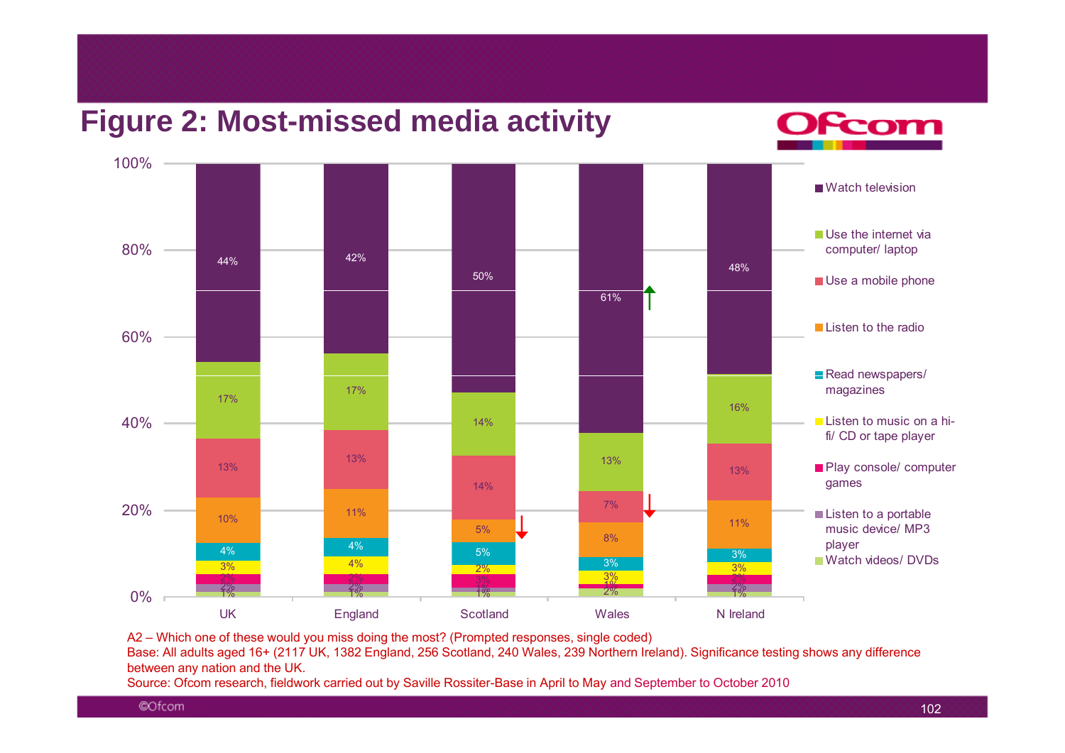

A2 – Which one of these would you miss doing the most? (Prompted responses, single coded)

Base: All adults aged 16+ (2117 UK, 1382 England, 256 Scotland, 240 Wales, 239 Northern Ireland). Significance testing shows any difference between any nation and the UK.

Source: Ofcom research, fieldwork carried out by Saville Rossiter-Base in April to May and September to October 2010

©Ofcom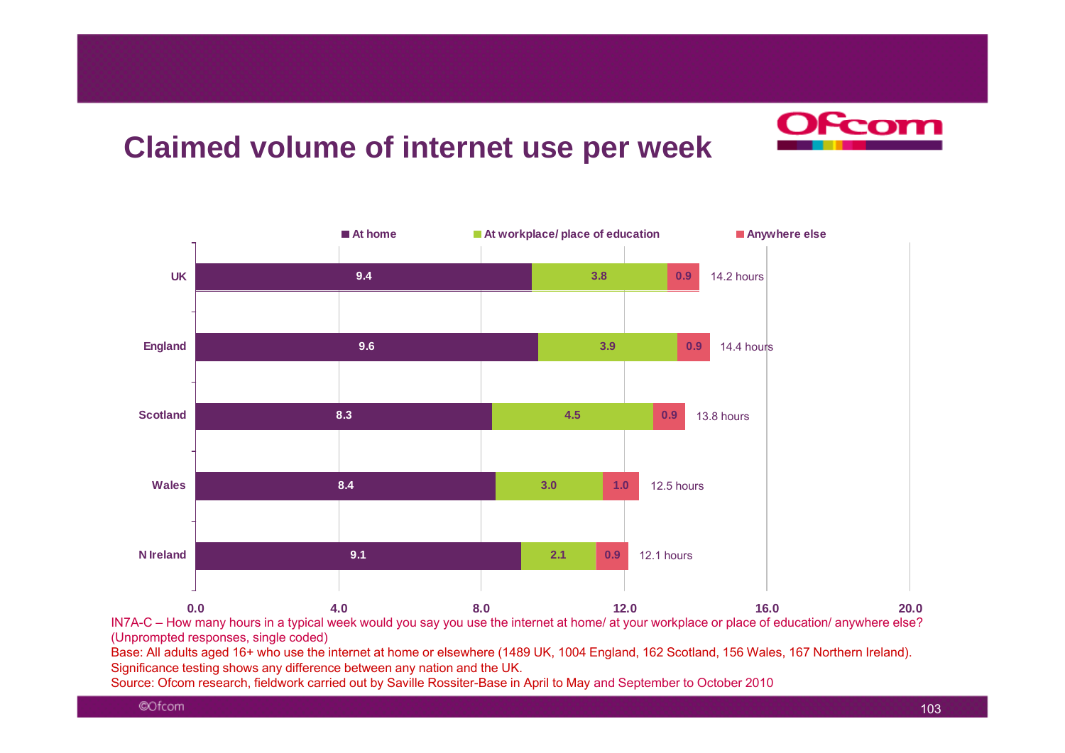## **Claimed volume of internet use per week**

![](_page_1_Picture_1.jpeg)

IN7A-C – How many hours in a typical week would you say you use the internet at home/ at your workplace or place of education/ anywhere else? (Unprompted responses, single coded)

Base: All adults aged 16+ who use the internet at home or elsewhere (1489 UK, 1004 England, 162 Scotland, 156 Wales, 167 Northern Ireland). Significance testing shows any difference between any nation and the UK.

Source: Ofcom research, fieldwork carried out by Saville Rossiter-Base in April to May and September to October 2010

From